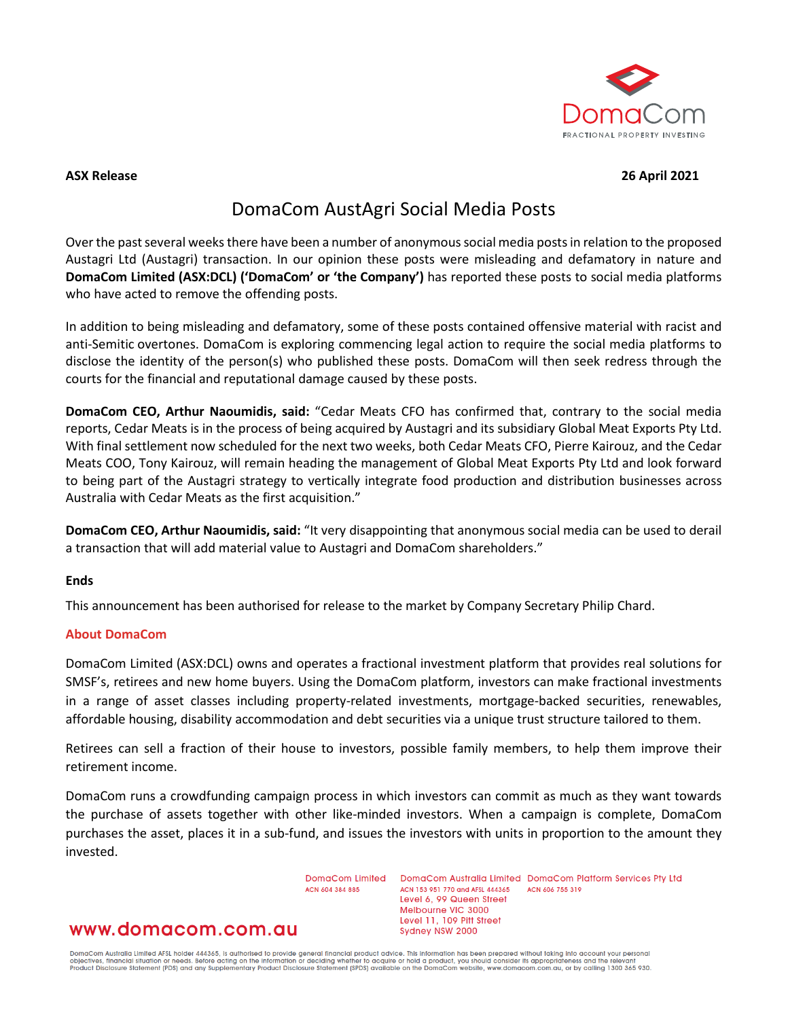

## **ASX Release 26 April 2021**

# DomaCom AustAgri Social Media Posts

Over the past several weeks there have been a number of anonymoussocial media posts in relation to the proposed Austagri Ltd (Austagri) transaction. In our opinion these posts were misleading and defamatory in nature and **DomaCom Limited (ASX:DCL) ('DomaCom' or 'the Company')** has reported these posts to social media platforms who have acted to remove the offending posts.

In addition to being misleading and defamatory, some of these posts contained offensive material with racist and anti-Semitic overtones. DomaCom is exploring commencing legal action to require the social media platforms to disclose the identity of the person(s) who published these posts. DomaCom will then seek redress through the courts for the financial and reputational damage caused by these posts.

**DomaCom CEO, Arthur Naoumidis, said:** "Cedar Meats CFO has confirmed that, contrary to the social media reports, Cedar Meats is in the process of being acquired by Austagri and its subsidiary Global Meat Exports Pty Ltd. With final settlement now scheduled for the next two weeks, both Cedar Meats CFO, Pierre Kairouz, and the Cedar Meats COO, Tony Kairouz, will remain heading the management of Global Meat Exports Pty Ltd and look forward to being part of the Austagri strategy to vertically integrate food production and distribution businesses across Australia with Cedar Meats as the first acquisition."

**DomaCom CEO, Arthur Naoumidis, said:** "It very disappointing that anonymous social media can be used to derail a transaction that will add material value to Austagri and DomaCom shareholders."

### **Ends**

This announcement has been authorised for release to the market by Company Secretary Philip Chard.

### **About DomaCom**

DomaCom Limited (ASX:DCL) owns and operates a fractional investment platform that provides real solutions for SMSF's, retirees and new home buyers. Using the DomaCom platform, investors can make fractional investments in a range of asset classes including property-related investments, mortgage-backed securities, renewables, affordable housing, disability accommodation and debt securities via a unique trust structure tailored to them.

Retirees can sell a fraction of their house to investors, possible family members, to help them improve their retirement income.

DomaCom runs a crowdfunding campaign process in which investors can commit as much as they want towards the purchase of assets together with other like-minded investors. When a campaign is complete, DomaCom purchases the asset, places it in a sub-fund, and issues the investors with units in proportion to the amount they invested.

> DomaCom Limited ACN 604 384 885

DomaCom Australia Limited DomaCom Platform Services Pty Ltd ACN 153 951 770 and AFSL 444365 ACN 606 755 319 Level 6, 99 Queen Street Melbourne VIC 3000 Level 11, 109 Pitt Street Sydney NSW 2000

# www.domacom.com.au

DomaCom Australia Limited AFSL holder 444365, is authorised to provide general financial product advice. This information has been prepared without taking into account your personal<br>objectives, financial situation or needs